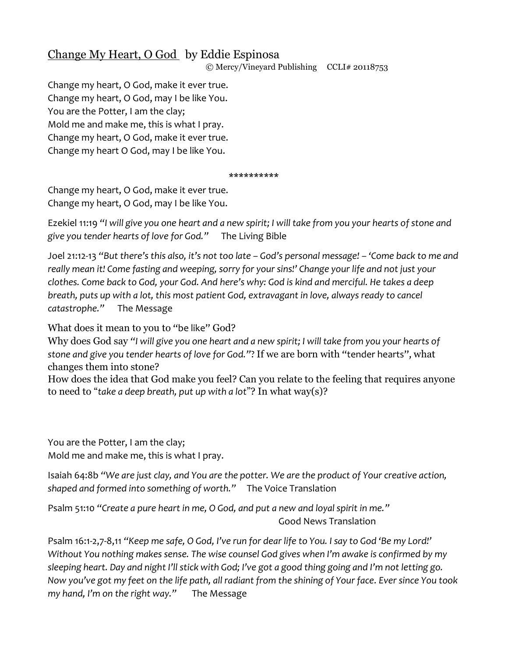## Change My Heart, O God by Eddie Espinosa

© Mercy/Vineyard Publishing CCLI# 20118753

Change my heart, O God, make it ever true. Change my heart, O God, may I be like You. You are the Potter, I am the clay; Mold me and make me, this is what I pray. Change my heart, O God, make it ever true. Change my heart O God, may I be like You.

## \*\*\*\*\*\*\*\*\*\*

Change my heart, O God, make it ever true. Change my heart, O God, may I be like You.

Ezekiel 11:19 *"I will give you one heart and a new spirit; I will take from you your hearts of stone and give you tender hearts of love for God."* The Living Bible

Joel 21:12-13 *"But there's this also, it's not too late – God's personal message! – 'Come back to me and really mean it! Come fasting and weeping, sorry for your sins!' Change your life and not just your clothes. Come back to God, your God. And here's why: God is kind and merciful. He takes a deep breath, puts up with a lot, this most patient God, extravagant in love, always ready to cancel catastrophe."* The Message

What does it mean to you to "be like" God?

Why does God say *"I will give you one heart and a new spirit; I will take from you your hearts of stone and give you tender hearts of love for God."*? If we are born with "tender hearts", what changes them into stone?

How does the idea that God make you feel? Can you relate to the feeling that requires anyone to need to "*take a deep breath, put up with a lot*"? In what way(s)?

You are the Potter, I am the clay;

Mold me and make me, this is what I pray.

Isaiah 64:8b *"We are just clay, and You are the potter. We are the product of Your creative action, shaped and formed into something of worth."* The Voice Translation

Psalm 51:10 *"Create a pure heart in me, O God, and put a new and loyal spirit in me."* Good News Translation

Psalm 16:1-2,7-8,11 *"Keep me safe, O God, I've run for dear life to You. I say to God 'Be my Lord!' Without You nothing makes sense. The wise counsel God gives when I'm awake is confirmed by my sleeping heart. Day and night I'll stick with God; I've got a good thing going and I'm not letting go. Now you've got my feet on the life path, all radiant from the shining of Your face. Ever since You took my hand, I'm on the right way."* The Message